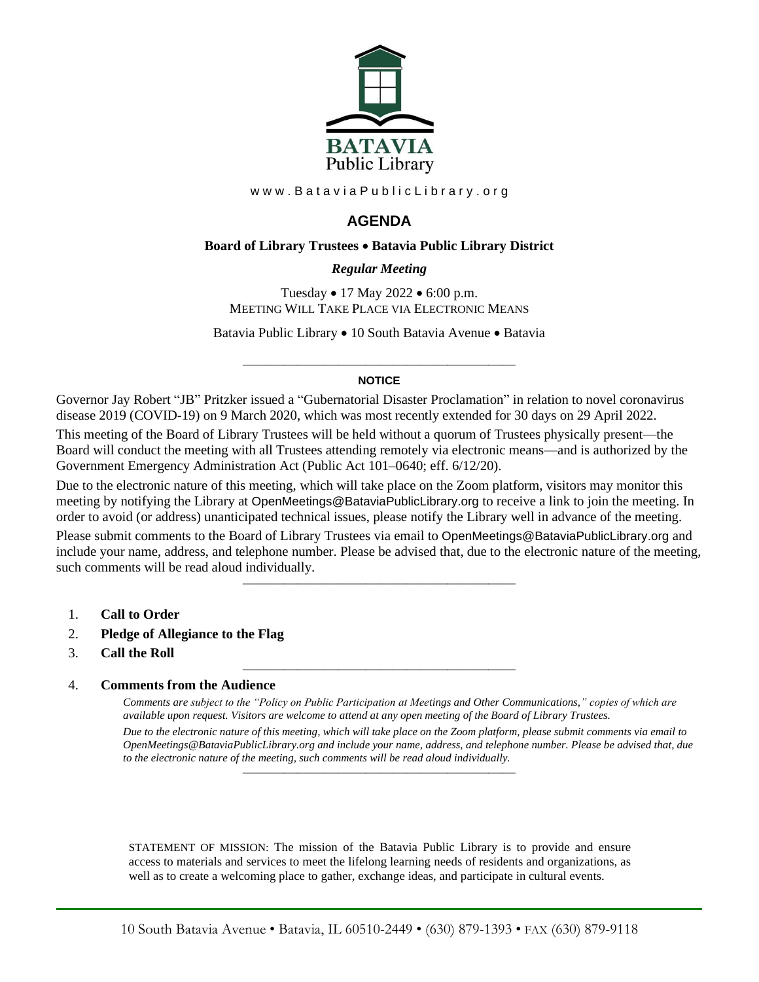

www.BataviaPublicLibrary.org

# **AGENDA**

#### **Board of Library Trustees** • **Batavia Public Library District**

## *0BRegular Meeting*

Tuesday • 17 May 2022 • 6:00 p.m. MEETING WILL TAKE PLACE VIA ELECTRONIC MEANS

Batavia Public Library • 10 South Batavia Avenue • Batavia

#### ———————————————————— **NOTICE**

Governor Jay Robert "JB" Pritzker issued a "Gubernatorial Disaster Proclamation" in relation to novel coronavirus disease 2019 (COVID-19) on 9 March 2020, which was most recently extended for 30 days on 29 April 2022.

This meeting of the Board of Library Trustees will be held without a quorum of Trustees physically present—the Board will conduct the meeting with all Trustees attending remotely via electronic means—and is authorized by the Government Emergency Administration Act (Public Act 101–0640; eff. 6/12/20).

Due to the electronic nature of this meeting, which will take place on the Zoom platform, visitors may monitor this meeting by notifying the Library at OpenMeetings@BataviaPublicLibrary.org to receive a link to join the meeting. In order to avoid (or address) unanticipated technical issues, please notify the Library well in advance of the meeting.

Please submit comments to the Board of Library Trustees via email to OpenMeetings@BataviaPublicLibrary.org and include your name, address, and telephone number. Please be advised that, due to the electronic nature of the meeting, such comments will be read aloud individually.

————————————————————

————————————————————

- 1. **Call to Order**
- 2. **Pledge of Allegiance to the Flag**
- 3. **Call the Roll**

## 4. **Comments from the Audience**

*Comments are subject to the "Policy on Public Participation at Meetings and Other Communications," copies of which are available upon request. Visitors are welcome to attend at any open meeting of the Board of Library Trustees. Due to the electronic nature of this meeting, which will take place on the Zoom platform, please submit comments via email to OpenMeetings@BataviaPublicLibrary.org and include your name, address, and telephone number. Please be advised that, due to the electronic nature of the meeting, such comments will be read aloud individually.*

STATEMENT OF MISSION: The mission of the Batavia Public Library is to provide and ensure access to materials and services to meet the lifelong learning needs of residents and organizations, as well as to create a welcoming place to gather, exchange ideas, and participate in cultural events.

————————————————————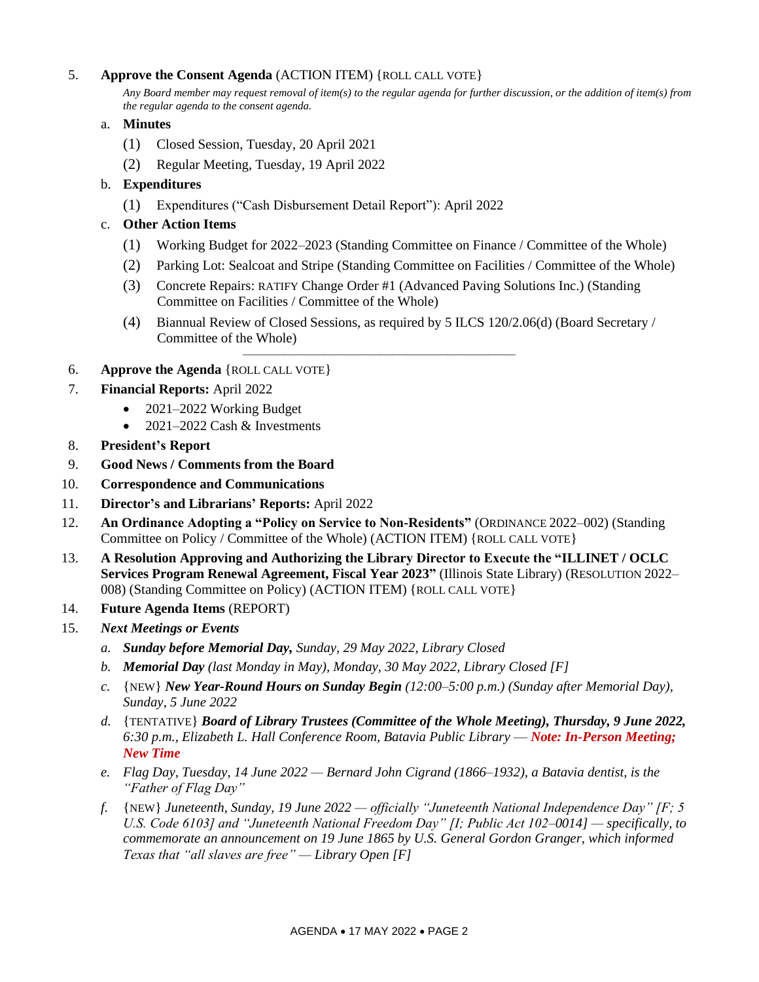## 5. **Approve the Consent Agenda** (ACTION ITEM) {ROLL CALL VOTE}

*Any Board member may request removal of item(s) to the regular agenda for further discussion, or the addition of item(s) from the regular agenda to the consent agenda.*

- a. **Minutes**
	- (1) Closed Session, Tuesday, 20 April 2021
	- (2) Regular Meeting, Tuesday, 19 April 2022
- b. **Expenditures**
	- (1) Expenditures ("Cash Disbursement Detail Report"): April 2022
- c. **Other Action Items**
	- (1) Working Budget for 2022–2023 (Standing Committee on Finance / Committee of the Whole)
	- (2) Parking Lot: Sealcoat and Stripe (Standing Committee on Facilities / Committee of the Whole)
	- (3) Concrete Repairs: RATIFY Change Order #1 (Advanced Paving Solutions Inc.) (Standing Committee on Facilities / Committee of the Whole)

————————————————————

- (4) Biannual Review of Closed Sessions, as required by 5 ILCS 120/2.06(d) (Board Secretary / Committee of the Whole)
- 6. **Approve the Agenda** {ROLL CALL VOTE}
- 7. **Financial Reports:** April 2022
	- 2021–2022 Working Budget
	- 2021–2022 Cash & Investments
- 8. **President's Report**
- 9. **Good News / Comments from the Board**
- 10. **Correspondence and Communications**
- 11. **Director's and Librarians' Reports:** April 2022
- 12. **An Ordinance Adopting a "Policy on Service to Non-Residents"** (ORDINANCE 2022–002) (Standing Committee on Policy / Committee of the Whole) (ACTION ITEM) {ROLL CALL VOTE}
- 13. **A Resolution Approving and Authorizing the Library Director to Execute the "ILLINET / OCLC Services Program Renewal Agreement, Fiscal Year 2023"** (Illinois State Library) (RESOLUTION 2022– 008) (Standing Committee on Policy) (ACTION ITEM) {ROLL CALL VOTE}
- 14. **Future Agenda Items** (REPORT)
- 15. *Next Meetings or Events*
	- *a. Sunday before Memorial Day, Sunday, 29 May 2022, Library Closed*
	- *b. Memorial Day (last Monday in May), Monday, 30 May 2022, Library Closed [F]*
	- *c.* {NEW} *New Year-Round Hours on Sunday Begin (12:00–5:00 p.m.) (Sunday after Memorial Day), Sunday, 5 June 2022*
	- *d.* {TENTATIVE} *Board of Library Trustees (Committee of the Whole Meeting), Thursday, 9 June 2022, 6:30 p.m., Elizabeth L. Hall Conference Room, Batavia Public Library* — *Note: In-Person Meeting; New Time*
	- *e. Flag Day, Tuesday, 14 June 2022 — Bernard John Cigrand (1866–1932), a Batavia dentist, is the "Father of Flag Day"*
	- *f.* {NEW} *Juneteenth, Sunday, 19 June 2022 — officially "Juneteenth National Independence Day" [F; 5 U.S. Code 6103] and "Juneteenth National Freedom Day" [I; Public Act 102–0014] — specifically, to commemorate an announcement on 19 June 1865 by U.S. General Gordon Granger, which informed Texas that "all slaves are free" — Library Open [F]*